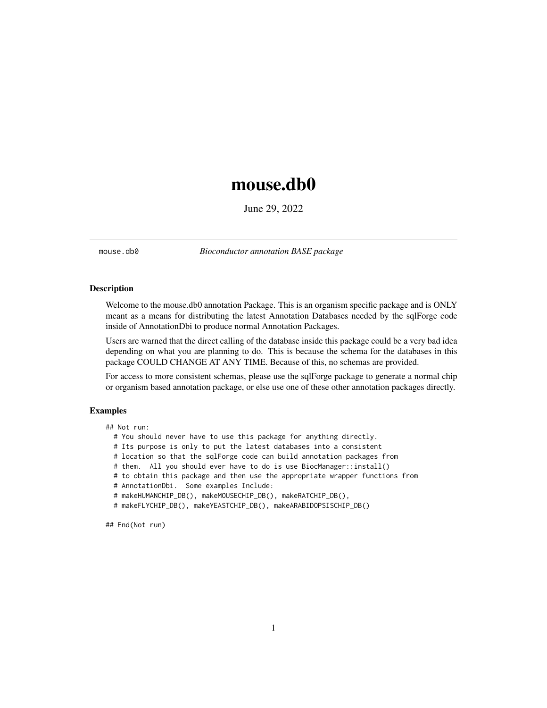## <span id="page-0-0"></span>mouse.db0

June 29, 2022

mouse.db0 *Bioconductor annotation BASE package*

#### Description

Welcome to the mouse.db0 annotation Package. This is an organism specific package and is ONLY meant as a means for distributing the latest Annotation Databases needed by the sqlForge code inside of AnnotationDbi to produce normal Annotation Packages.

Users are warned that the direct calling of the database inside this package could be a very bad idea depending on what you are planning to do. This is because the schema for the databases in this package COULD CHANGE AT ANY TIME. Because of this, no schemas are provided.

For access to more consistent schemas, please use the sqlForge package to generate a normal chip or organism based annotation package, or else use one of these other annotation packages directly.

#### Examples

## Not run:

- # You should never have to use this package for anything directly.
- # Its purpose is only to put the latest databases into a consistent
- # location so that the sqlForge code can build annotation packages from
- # them. All you should ever have to do is use BiocManager::install()
- # to obtain this package and then use the appropriate wrapper functions from
- # AnnotationDbi. Some examples Include:
- # makeHUMANCHIP\_DB(), makeMOUSECHIP\_DB(), makeRATCHIP\_DB(),
- # makeFLYCHIP\_DB(), makeYEASTCHIP\_DB(), makeARABIDOPSISCHIP\_DB()

## End(Not run)